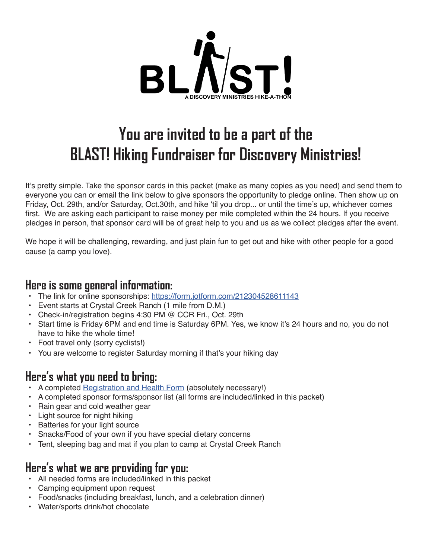

# **You are invited to be a part of the BLAST! Hiking Fundraiser for Discovery Ministries!**

It's pretty simple. Take the sponsor cards in this packet (make as many copies as you need) and send them to everyone you can or email the link below to give sponsors the opportunity to pledge online. Then show up on Friday, Oct. 29th, and/or Saturday, Oct.30th, and hike 'til you drop... or until the time's up, whichever comes first. We are asking each participant to raise money per mile completed within the 24 hours. If you receive pledges in person, that sponsor card will be of great help to you and us as we collect pledges after the event.

We hope it will be challenging, rewarding, and just plain fun to get out and hike with other people for a good cause (a camp you love).

#### **Here is some general information:**

- The link for online sponsorships: https://form.jotform.com/212304528611143
- Event starts at Crystal Creek Ranch (1 mile from D.M.)
- Check-in/registration begins 4:30 PM @ CCR Fri., Oct. 29th
- Start time is Friday 6PM and end time is Saturday 6PM. Yes, we know it's 24 hours and no, you do not have to hike the whole time!
- Foot travel only (sorry cyclists!)
- You are welcome to register Saturday morning if that's your hiking day

## **Here's what you need to bring:**

- A completed Registration and Health Form (absolutely necessary!)
- A completed sponsor forms/sponsor list (all forms are included/linked in this packet)
- Rain gear and cold weather gear
- Light source for night hiking
- Batteries for your light source
- Snacks/Food of your own if you have special dietary concerns
- Tent, sleeping bag and mat if you plan to camp at Crystal Creek Ranch

#### **Here's what we are providing for you:**

- All needed forms are included/linked in this packet
- Camping equipment upon request
- Food/snacks (including breakfast, lunch, and a celebration dinner)
- Water/sports drink/hot chocolate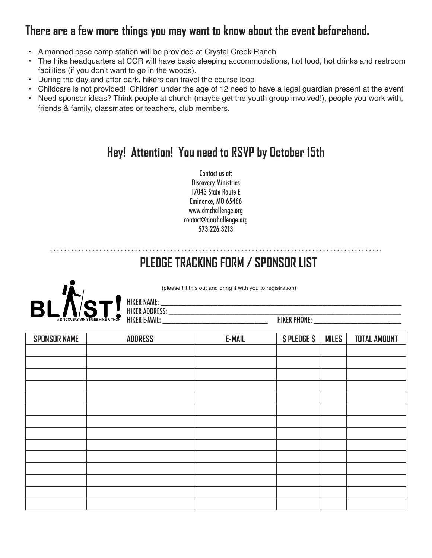# **There are a few more things you may want to know about the event beforehand.**

- A manned base camp station will be provided at Crystal Creek Ranch
- The hike headquarters at CCR will have basic sleeping accommodations, hot food, hot drinks and restroom facilities (if you don't want to go in the woods).
- During the day and after dark, hikers can travel the course loop
- Childcare is not provided! Children under the age of 12 need to have a legal guardian present at the event
- Need sponsor ideas? Think people at church (maybe get the youth group involved!), people you work with, friends & family, classmates or teachers, club members.

# **Hey! Attention! You need to RSVP by October 15th**

Contact us at: Discovery Ministries 17043 State Route E Eminence, MO 65466 www.dmchallenge.org contact@dmchallenge.org 573.226.3213

. . . . . . . . . . . . . . . . . . . . . . . . . . . . . . . . . . . . . . . . . . . . . . . . . . . . . . . . . . . . . . . . . . . . . . . . . . . . . . . . . . . . . . . . . . . . . .

# **PLEDGE TRACKING FORM / SPONSOR LIST**



(please fill this out and bring it with you to registration)

HIKER ADDRESS: \_\_\_\_\_\_\_\_\_\_\_\_\_\_\_\_\_\_\_\_\_\_\_\_\_\_\_\_\_\_\_\_\_\_\_\_\_\_\_\_\_\_\_\_\_\_\_\_\_\_\_\_\_

| <b>SPONSOR NAME</b> | <b>ADDRESS</b> | <b>E-MAIL</b> | <b>SPLEDGE S</b> | <b>MILES</b> | <b>TOTAL AMOUNT</b> |
|---------------------|----------------|---------------|------------------|--------------|---------------------|
|                     |                |               |                  |              |                     |
|                     |                |               |                  |              |                     |
|                     |                |               |                  |              |                     |
|                     |                |               |                  |              |                     |
|                     |                |               |                  |              |                     |
|                     |                |               |                  |              |                     |
|                     |                |               |                  |              |                     |
|                     |                |               |                  |              |                     |
|                     |                |               |                  |              |                     |
|                     |                |               |                  |              |                     |
|                     |                |               |                  |              |                     |
|                     |                |               |                  |              |                     |
|                     |                |               |                  |              |                     |
|                     |                |               |                  |              |                     |